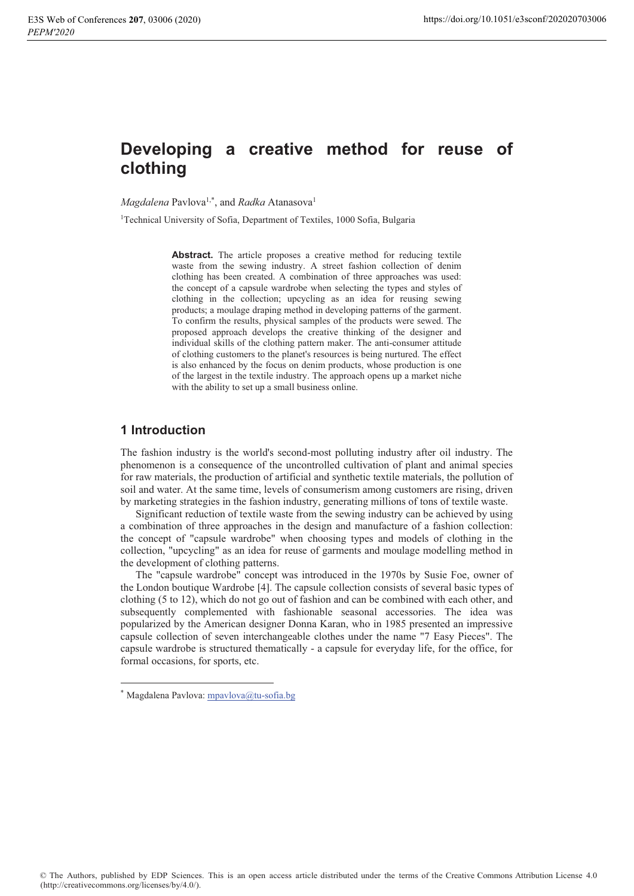# Developing a creative method for reuse of clothing

Magdalena Pavlova<sup>1,\*</sup>, and Radka Atanasova<sup>1</sup>

<sup>1</sup>Technical University of Sofia, Department of Textiles, 1000 Sofia, Bulgaria

**Abstract.** The article proposes a creative method for reducing textile waste from the sewing industry. A street fashion collection of denim clothing has been created. A combination of three approaches was used: the concept of a capsule wardrobe when selecting the types and styles of clothing in the collection; upcycling as an idea for reusing sewing products; a moulage draping method in developing patterns of the garment. To confirm the results, physical samples of the products were sewed. The proposed approach develops the creative thinking of the designer and individual skills of the clothing pattern maker. The anti-consumer attitude of clothing customers to the planet's resources is being nurtured. The effect is also enhanced by the focus on denim products, whose production is one of the largest in the textile industry. The approach opens up a market niche with the ability to set up a small business online.

# 1 Introduction

The fashion industry is the world's second-most polluting industry after oil industry. The phenomenon is a consequence of the uncontrolled cultivation of plant and animal species for raw materials, the production of artificial and synthetic textile materials, the pollution of soil and water. At the same time, levels of consumerism among customers are rising, driven by marketing strategies in the fashion industry, generating millions of tons of textile waste.

Significant reduction of textile waste from the sewing industry can be achieved by using a combination of three approaches in the design and manufacture of a fashion collection: the concept of "capsule wardrobe" when choosing types and models of clothing in the collection, "upcycling" as an idea for reuse of garments and moulage modelling method in the development of clothing patterns.

The "capsule wardrobe" concept was introduced in the 1970s by Susie Foe, owner of the London boutique Wardrobe [4]. The capsule collection consists of several basic types of clothing (5 to 12), which do not go out of fashion and can be combined with each other, and subsequently complemented with fashionable seasonal accessories. The idea was popularized by the American designer Donna Karan, who in 1985 presented an impressive capsule collection of seven interchangeable clothes under the name "7 Easy Pieces". The capsule wardrobe is structured thematically - a capsule for everyday life, for the office, for formal occasions, for sports, etc.

<sup>\*</sup> Magdalena Pavlova: mpavlova@tu-sofia.bg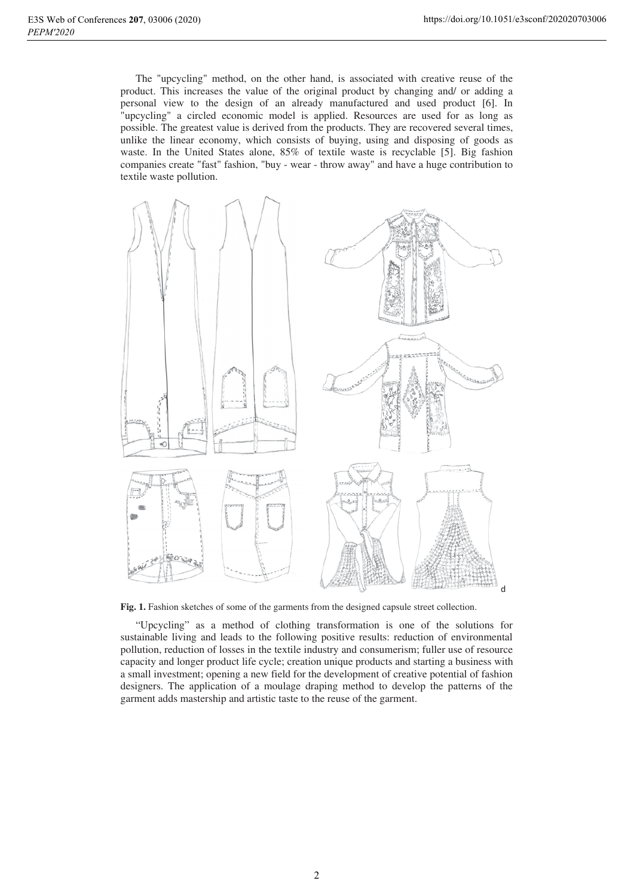The "upcycling" method, on the other hand, is associated with creative reuse of the product. This increases the value of the original product by changing and/ or adding a personal view to the design of an already manufactured and used product [6]. In "upcycling" a circled economic model is applied. Resources are used for as long as possible. The greatest value is derived from the products. They are recovered several times, unlike the linear economy, which consists of buying, using and disposing of goods as waste. In the United States alone, 85% of textile waste is recyclable [5]. Big fashion companies create "fast" fashion, "buy - wear - throw away" and have a huge contribution to textile waste pollution.



Fig. 1. Fashion sketches of some of the garments from the designed capsule street collection.

"Upcycling" as a method of clothing transformation is one of the solutions for sustainable living and leads to the following positive results: reduction of environmental pollution, reduction of losses in the textile industry and consumerism; fuller use of resource capacity and longer product life cycle; creation unique products and starting a business with a small investment; opening a new field for the development of creative potential of fashion designers. The application of a moulage draping method to develop the patterns of the garment adds mastership and artistic taste to the reuse of the garment.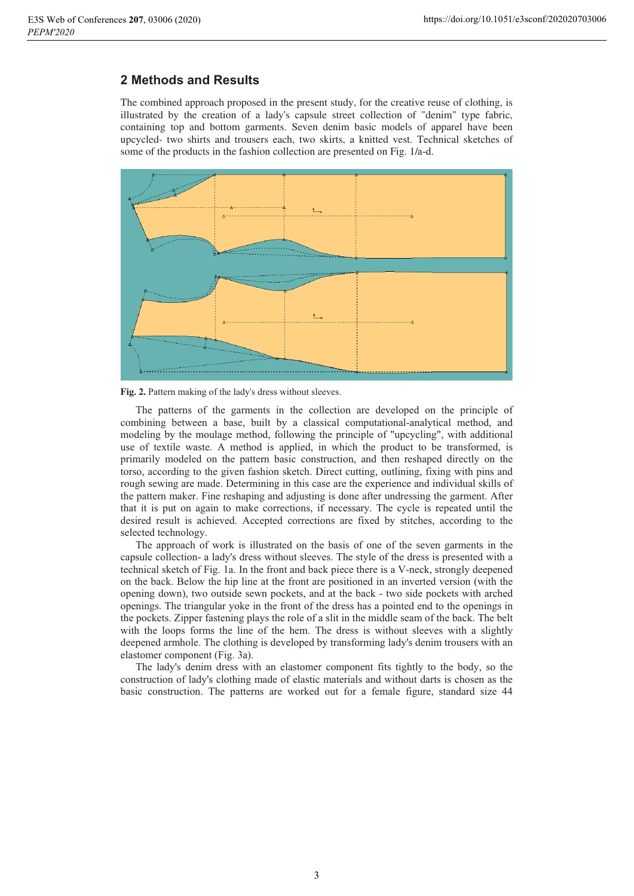### **2 Methods and Results**

The combined approach proposed in the present study, for the creative reuse of clothing, is illustrated by the creation of a lady's capsule street collection of "denim" type fabric, containing top and bottom garments. Seven denim basic models of apparel have been upcycled- two shirts and trousers each, two skirts, a knitted vest. Technical sketches of some of the products in the fashion collection are presented on Fig. 1/a-d.



Fig. 2. Pattern making of the lady's dress without sleeves.<br>The patterns of the garments in the collection are developed on the principle of<br>combining between a base built by a classical computational-analytical method and The patterns of the garments in the collection are developed on the<br>combining between a base, built by a classical computational-analytical<br>modeling by the moulage method following the principle of "upcycling" combining between a base, built by a classical computational-analytical method, and<br>modeling by the moulage method, following the principle of "upcycling", with additional<br>use of textile waste. A method is applied in which modeling by the moulage method, following the principle of "upcycling", with additional<br>use of textile waste. A method is applied, in which the product to be transformed, is<br>primarily modeled on the pattern basic construct use of textile waste. A method is applied, in which the product to be transformed, is<br>primarily modeled on the pattern basic construction, and then reshaped directly on the<br>torso, according to the given fashion sketch. Dir primarily modeled on the pattern basic construction, and then resnaped directly on the<br>torso, according to the given fashion sketch. Direct cutting, outlining, fixing with pins and<br>rough sewing are made. Determining in thi torso, according to<br>rough sewing are r<br>the pattern maker. rough sewing are made. Determining in this case are the experience and individual skills of<br>the pattern maker. Fine reshaping and adjusting is done after undressing the garment. After<br>that it is put on again to make correc the pattern maker. Fine resnaping and adjusting is done arter undressing the garment. After<br>that it is put on again to make corrections, if necessary. The cycle is repeated until the<br>desired result is achieved. Accepted co red result is achieved. Accepted corrections are fixed by stitches, according to the desired result is ach<br>selected technology.<br>The approach of meved. Accepted corrections are fixed by stitches, according to the<br>  $\frac{1}{2}$ .<br>
If work is illustrated on the basis of one of the seven garments in the

The approach of work is inustrated on the basis of one of the seven garments in the The approach of work is illustrated on the basis of one of the seven garments in the<br>capsule collection- a lady's dress without sleeves. The style of the dress is presented with a<br>technical sketch of Fig. 1a. In the front capsule collection- a laay's dress without sleeves. The style of the dress is presented with a<br>technical sketch of Fig. 1a. In the front and back piece there is a V-neck, strongly deepened<br>on the back. Below the hip line a rechnical sketch of Fig. 1a. In the front and back piece there is a v-neck, strongly deepened<br>on the back. Below the hip line at the front are positioned in an inverted version (with the<br>opening down), two outside sewn poc on the back. Below the hip line at the front are positioned in an inverted version (with the<br>opening down), two outside sewn pockets, and at the back - two side pockets with arched<br>openings. The triangular voke in the fron opening down), two outside sewn pockets, and at the back - two side pockets with<br>openings. The triangular yoke in the front of the dress has a pointed end to the ope<br>the pockets. Zipper fastening plays the role of a slit i openings. The triangular yoke in the front of the dress has a pointed end to the openings in<br>the pockets. Zipper fastening plays the role of a slit in the middle seam of the back. The belt<br>with the loops forms the line of with the loops forms the line of the hem. The dress is without sleeves with a slightly pened armnole. The clothing is developed by transforming lady's denim trousers with an deepened armnole. The clothin<br>elastomer component (Fig. 3a).<br>The lady's denim dress wi hing is developed by transforming lady's denim trousers with an<br>a).<br>with an elastomer component fits tightly to the body, so the

 $\frac{1}{2}$ e laay's denim dress with an elastomer component rits tightly to the body, so the<br>uction of lady's clothing made of elastic materials and without darts is chosen as the<br>construction. The patterns are worked out for a femal basic construction. The patterns are worked out for a female figure, standard size 44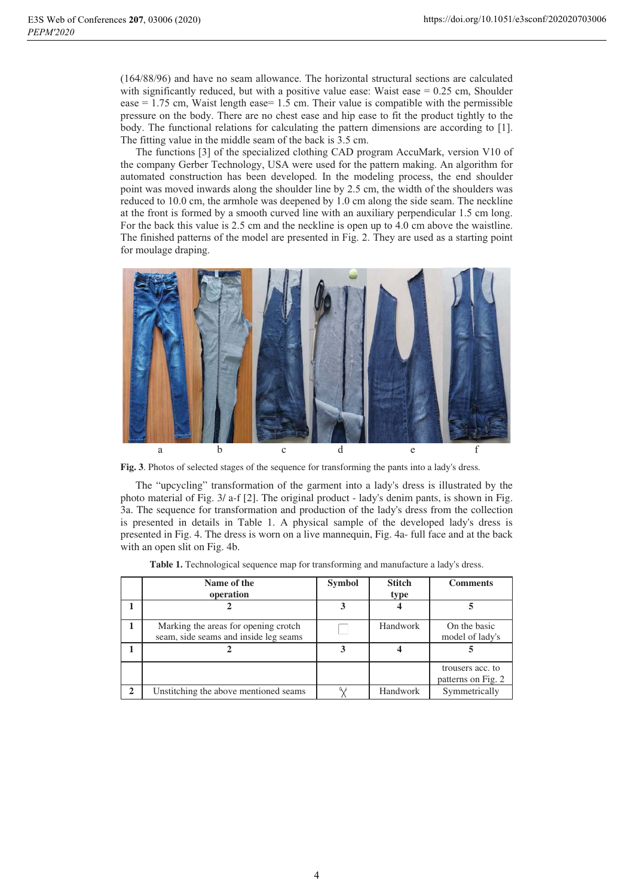(164/88/96) and have no seam allowance. The horizontal structural sections are calculated with significantly reduced, but with a positive value ease: walst ease  $= 0.25$  cm, Shoulder  $(104/88/90)$  and nave no seam allowance. The norizontal structural sections are calculated  $\epsilon$  = 1.75 cm, was tength  $\epsilon$  ascess 1.5 cm. Their value is compatible with the permissible ease  $= 1.75$  cm, wast length ease= 1.5 cm. Their value is compatible with the permissible<br>pressure on the body. There are no chest ease and hip ease to fit the product tightly to the<br>hody. The functional relations for ca ssure on the boay. There are no chest ease and hip ease to fit the product tightly to the ly. The functional relations for calculating the pattern dimensions are according to [1].<br>
If fitting value in the middle seam of th The fitting value in the middle seam of the back is 3.5 cm.

dimensions are according to [1].<br>
1990 Mark, version V10 of<br>
pattern making. An algorithm for <sub>1</sub> Ine ture The functions  $[3]$  of the specialized clothing CAD program Acculviark, version V10 of<br>the company Gerber Technology, USA were used for the pattern making. An algorithm for<br>automated construction has been developed. In th automated construction has been developed. In the modeling process, the end shoulder automated construction has been developed. In the modeling process, the end shoulder<br>point was moved inwards along the shoulder line by 2.5 cm, the width of the shoulders was<br>reduced to 10.0 cm, the armhole was deepened by reduced to  $10.0 \text{ cm}$ , the armhole was deepend by  $1.0 \text{ cm}$  along the side seam. The neckline reduced to 10.0 cm, the armhole was deepened by 1.0 cm along the side seam. The neckline<br>at the front is formed by a smooth curved line with an auxiliary perpendicular 1.5 cm long.<br>For the back this value is 2.5 cm and the For the back this value is  $2.5$  cm and the neckline is open up to  $4.0$  cm above the waistline. The finished patterns of the model are presented in Fig. 2. They are used as a starting point for moulage draping.



The "upcycling" transformation of the garment into a lady's dress is illustrated by the photo material of Fig. 3/ a-f [2]. The original product - lady's denim pants, is shown in Fig. 3a. The sequence for transformation and production of the lady's dress from the collection is presented in details in Table 1. A physical sample of the developed lady's dress is presented in Fig. 4. The dress is worn on a live mannequin, Fig. 4a- full face and at the back with an open slit on Fig. 4b.

|              | Name of the<br>operation                                                      | <b>Symbol</b> | <b>Stitch</b><br>type | <b>Comments</b>                        |
|--------------|-------------------------------------------------------------------------------|---------------|-----------------------|----------------------------------------|
|              |                                                                               |               |                       |                                        |
|              | Marking the areas for opening crotch<br>seam, side seams and inside leg seams |               | Handwork              | On the basic<br>model of lady's        |
|              |                                                                               | 3             |                       |                                        |
|              |                                                                               |               |                       | trousers acc. to<br>patterns on Fig. 2 |
| $\mathbf{2}$ | Unstitching the above mentioned seams                                         |               | Handwork              | Symmetrically                          |

**Table 1.** Technological sequence map for transforming and manufacture a lady's dress.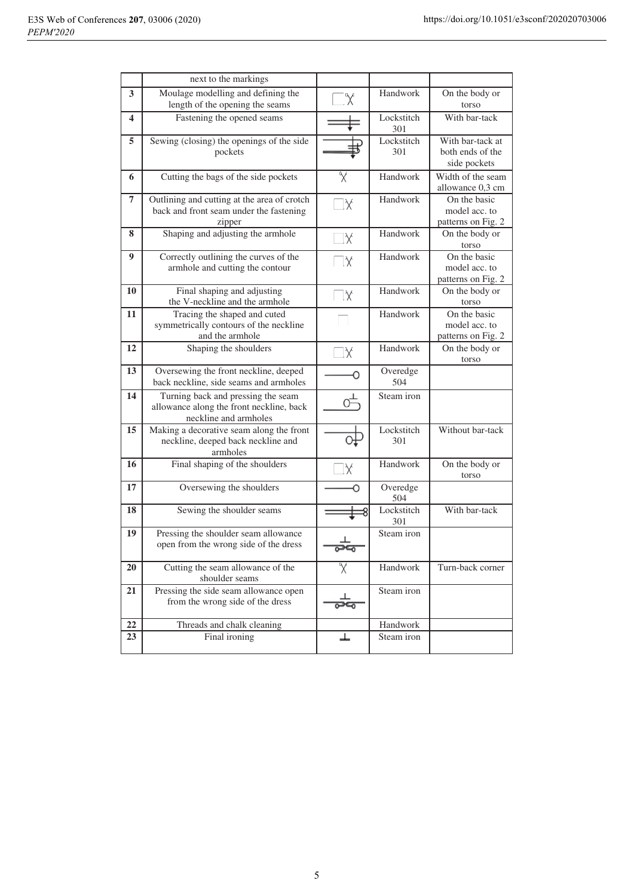|    | next to the markings                                                                                    |     |                   |                                                      |
|----|---------------------------------------------------------------------------------------------------------|-----|-------------------|------------------------------------------------------|
| 3  | Moulage modelling and defining the<br>length of the opening the seams                                   | Y   | Handwork          | On the body or<br>torso                              |
| 4  | Fastening the opened seams                                                                              |     | Lockstitch<br>301 | With bar-tack                                        |
| 5  | Sewing (closing) the openings of the side<br>pockets                                                    |     | Lockstitch<br>301 | With bar-tack at<br>both ends of the<br>side pockets |
| 6  | Cutting the bags of the side pockets                                                                    | X   | Handwork          | Width of the seam<br>allowance 0,3 cm                |
| 7  | Outlining and cutting at the area of crotch<br>back and front seam under the fastening<br>zipper        | X   | Handwork          | On the basic<br>model acc. to<br>patterns on Fig. 2  |
| 8  | Shaping and adjusting the armhole                                                                       | .X  | Handwork          | On the body or<br>torso                              |
| 9  | Correctly outlining the curves of the<br>armhole and cutting the contour                                | X   | Handwork          | On the basic<br>model acc. to<br>patterns on Fig. 2  |
| 10 | Final shaping and adjusting<br>the V-neckline and the armhole                                           | ΔX  | Handwork          | On the body or<br>torso                              |
| 11 | Tracing the shaped and cuted<br>symmetrically contours of the neckline<br>and the armhole               |     | Handwork          | On the basic<br>model acc. to<br>patterns on Fig. 2  |
| 12 | Shaping the shoulders                                                                                   | lΧ  | Handwork          | On the body or<br>torso                              |
| 13 | Oversewing the front neckline, deeped<br>back neckline, side seams and armholes                         |     | Overedge<br>504   |                                                      |
| 14 | Turning back and pressing the seam<br>allowance along the front neckline, back<br>neckline and armholes |     | Steam iron        |                                                      |
| 15 | Making a decorative seam along the front<br>neckline, deeped back neckline and<br>armholes              |     | Lockstitch<br>301 | Without bar-tack                                     |
| 16 | Final shaping of the shoulders                                                                          | X   | Handwork          | On the body or<br>torso                              |
| 17 | Oversewing the shoulders                                                                                | Ο   | Overedge<br>504   |                                                      |
| 18 | Sewing the shoulder seams                                                                               |     | Lockstitch<br>301 | With bar-tack                                        |
| 19 | Pressing the shoulder seam allowance<br>open from the wrong side of the dress                           | معص | Steam iron        |                                                      |
| 20 | Cutting the seam allowance of the<br>shoulder seams                                                     | X   | Handwork          | Turn-back corner                                     |
| 21 | Pressing the side seam allowance open<br>from the wrong side of the dress                               |     | Steam iron        |                                                      |
| 22 | Threads and chalk cleaning                                                                              |     | Handwork          |                                                      |
| 23 | Final ironing                                                                                           | ⊥   | Steam iron        |                                                      |
|    |                                                                                                         |     |                   |                                                      |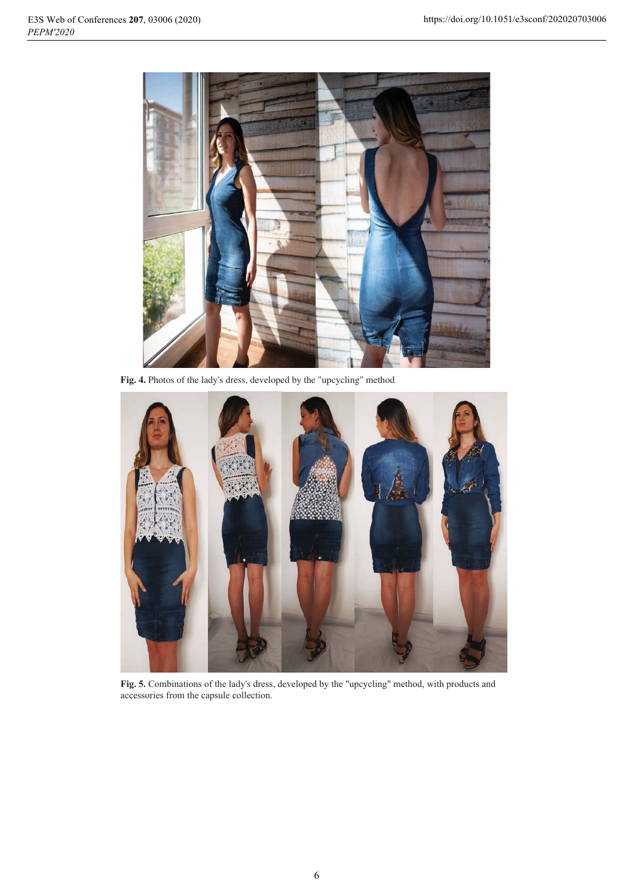

Fig. 4. Photos of the lady's dress, developed by the "upcycling" method



Fig. 5. Combinations of the lady's dress, developed by the "upcycling" method, with products and accessories from the capsule collection.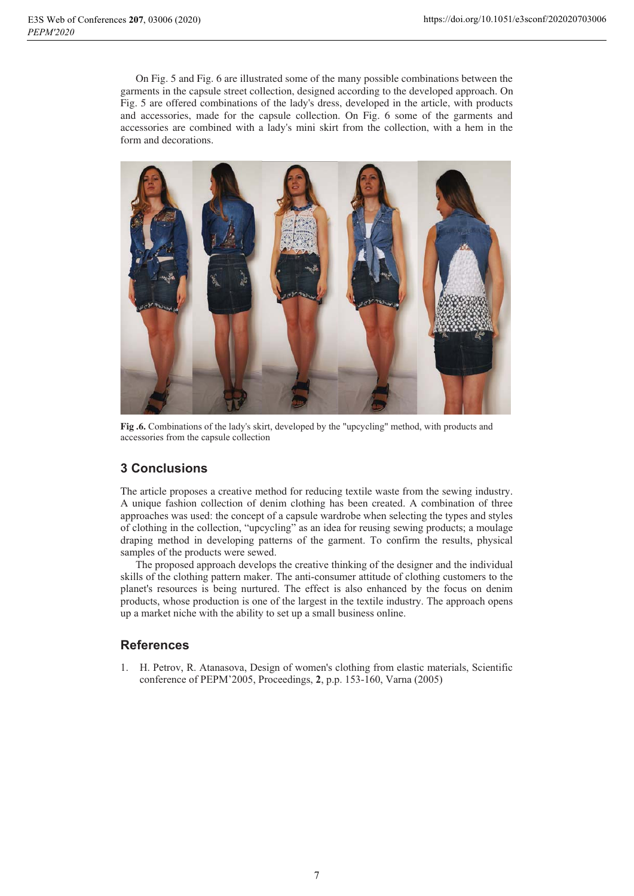On Fig. 5 and Fig. 6 are illustrated some of the many possible combinations between the garments in the capsule street collection, designed according to the developed approach. On Fig. 5 are offered combinations of the lady's dress, developed in the article, with products and accessories, made for the capsule collection. On Fig. 6 some of the garments and accessories are combined with a lady's mini skirt from the collection, with a hem in the form and decorations.



Fig. 6. Combinations of the lady's skirt, developed by the "upcycling" method, with products and accessories from the capsule collection

# **3 Conclusions**

The article proposes a creative method for reducing textile waste from the sewing industry. A unique fashion collection of denim clothing has been created. A combination of three approaches was used: the concept of a capsule wardrobe when selecting the types and styles of clothing in the collection, "upcycling" as an idea for reusing sewing products; a moulage draping method in developing patterns of the garment. To confirm the results, physical samples of the products were sewed.

The proposed approach develops the creative thinking of the designer and the individual skills of the clothing pattern maker. The anti-consumer attitude of clothing customers to the planet's resources is being nurtured. The effect is also enhanced by the focus on denim products, whose production is one of the largest in the textile industry. The approach opens up a market niche with the ability to set up a small business online.

# **References**

1. H. Petrov, R. Atanasova, Design of women's clothing from elastic materials, Scientific conference of PEPM'2005, Proceedings, 2, p.p. 153-160, Varna (2005)